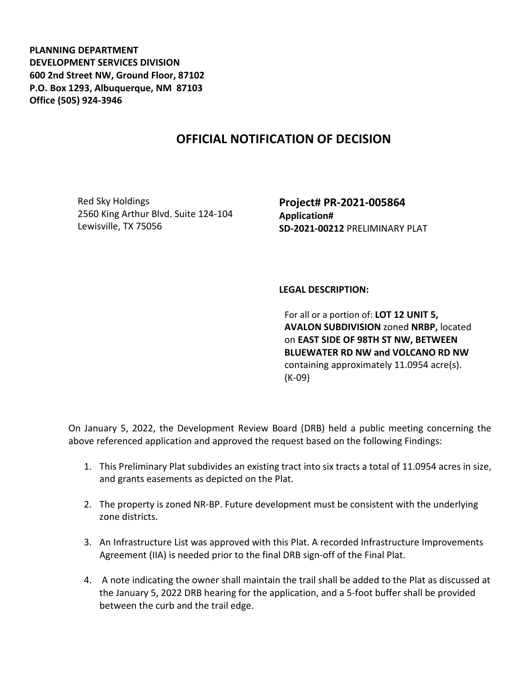**PLANNING DEPARTMENT DEVELOPMENT SERVICES DIVISION 600 2nd Street NW, Ground Floor, 87102 P.O. Box 1293, Albuquerque, NM 87103 Office (505) 924-3946** 

## **OFFICIAL NOTIFICATION OF DECISION**

Red Sky Holdings 2560 King Arthur Blvd. Suite 124-104 Lewisville, TX 75056

**Project# PR-2021-005864 Application# SD-2021-00212** PRELIMINARY PLAT

## **LEGAL DESCRIPTION:**

For all or a portion of: **LOT 12 UNIT 5, AVALON SUBDIVISION** zoned **NRBP,** located on **EAST SIDE OF 98TH ST NW, BETWEEN BLUEWATER RD NW and VOLCANO RD NW**  containing approximately 11.0954 acre(s). (K-09)

On January 5, 2022, the Development Review Board (DRB) held a public meeting concerning the above referenced application and approved the request based on the following Findings:

- 1. This Preliminary Plat subdivides an existing tract into six tracts a total of 11.0954 acres in size, and grants easements as depicted on the Plat.
- 2. The property is zoned NR-BP. Future development must be consistent with the underlying zone districts.
- 3. An Infrastructure List was approved with this Plat. A recorded Infrastructure Improvements Agreement (IIA) is needed prior to the final DRB sign-off of the Final Plat.
- 4. A note indicating the owner shall maintain the trail shall be added to the Plat as discussed at the January 5, 2022 DRB hearing for the application, and a 5-foot buffer shall be provided between the curb and the trail edge.